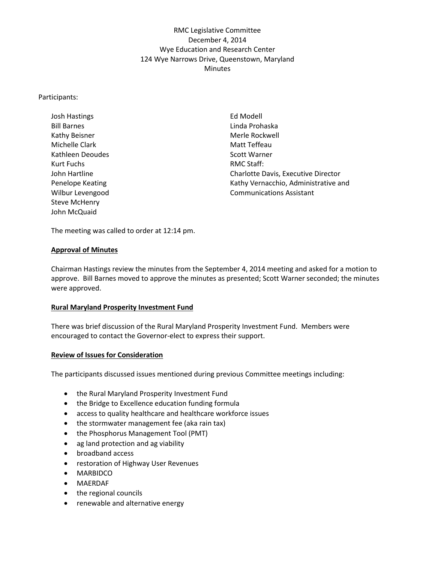RMC Legislative Committee December 4, 2014 Wye Education and Research Center 124 Wye Narrows Drive, Queenstown, Maryland **Minutes** 

## Participants:

Josh Hastings Bill Barnes Kathy Beisner Michelle Clark Kathleen Deoudes Kurt Fuchs John Hartline Penelope Keating Wilbur Levengood Steve McHenry John McQuaid

Ed Modell Linda Prohaska Merle Rockwell Matt Teffeau Scott Warner RMC Staff: Charlotte Davis, Executive Director Kathy Vernacchio, Administrative and Communications Assistant

The meeting was called to order at 12:14 pm.

## **Approval of Minutes**

Chairman Hastings review the minutes from the September 4, 2014 meeting and asked for a motion to approve. Bill Barnes moved to approve the minutes as presented; Scott Warner seconded; the minutes were approved.

## **Rural Maryland Prosperity Investment Fund**

There was brief discussion of the Rural Maryland Prosperity Investment Fund. Members were encouraged to contact the Governor-elect to express their support.

#### **Review of Issues for Consideration**

The participants discussed issues mentioned during previous Committee meetings including:

- the Rural Maryland Prosperity Investment Fund
- the Bridge to Excellence education funding formula
- access to quality healthcare and healthcare workforce issues
- the stormwater management fee (aka rain tax)
- the Phosphorus Management Tool (PMT)
- ag land protection and ag viability
- broadband access
- **•** restoration of Highway User Revenues
- MARBIDCO
- MAERDAF
- the regional councils
- renewable and alternative energy